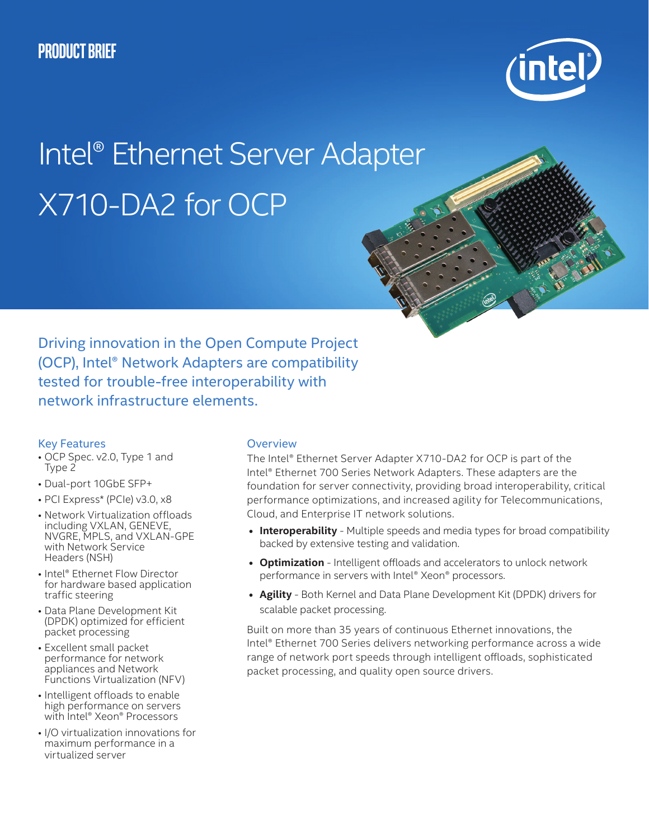

# Intel® Ethernet Server Adapter X710-DA2 for OCP

Driving innovation in the Open Compute Project (OCP), Intel® Network Adapters are compatibility tested for trouble-free interoperability with network infrastructure elements.

## Key Features

- OCP Spec. v2.0, Type 1 and Type 2
- Dual-port 10GbE SFP+
- PCI Express\* (PCIe) v3.0, x8
- Network Virtualization offloads including VXLAN, GENEVE, NVGRE, MPLS, and VXLAN-GPE with Network Service Headers (NSH)
- Intel® Ethernet Flow Director for hardware based application traffic steering
- Data Plane Development Kit (DPDK) optimized for efficient packet processing
- Excellent small packet performance for network appliances and Network Functions Virtualization (NFV)
- Intelligent offloads to enable high performance on servers with Intel® Xeon® Processors
- I/O virtualization innovations for maximum performance in a virtualized server

## **Overview**

The Intel® Ethernet Server Adapter X710-DA2 for OCP is part of the Intel® Ethernet 700 Series Network Adapters. These adapters are the foundation for server connectivity, providing broad interoperability, critical performance optimizations, and increased agility for Telecommunications, Cloud, and Enterprise IT network solutions.

- **• Interoperability** Multiple speeds and media types for broad compatibility backed by extensive testing and validation.
- **• Optimization** Intelligent offloads and accelerators to unlock network performance in servers with Intel® Xeon® processors.
- **• Agility** Both Kernel and Data Plane Development Kit (DPDK) drivers for scalable packet processing.

Built on more than 35 years of continuous Ethernet innovations, the Intel® Ethernet 700 Series delivers networking performance across a wide range of network port speeds through intelligent offloads, sophisticated packet processing, and quality open source drivers.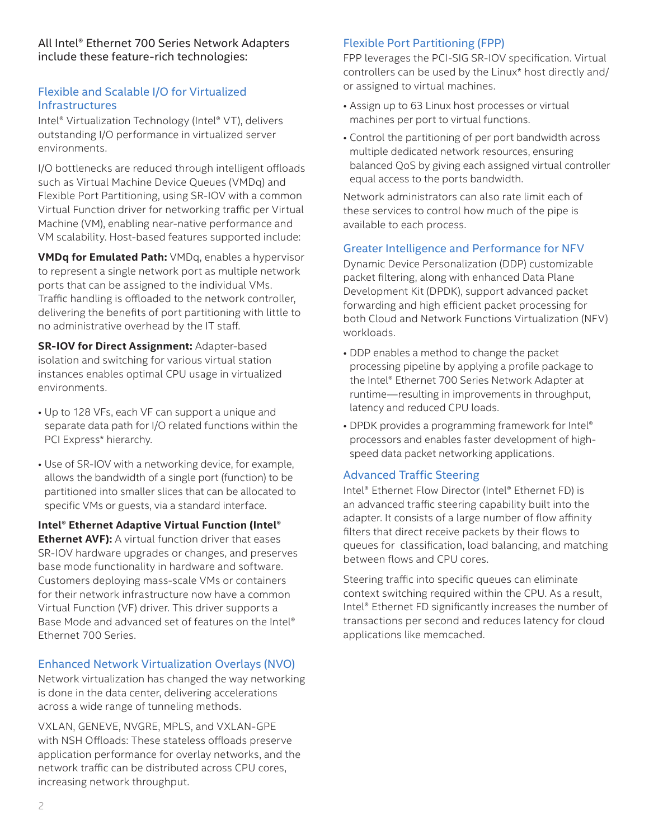All Intel® Ethernet 700 Series Network Adapters include these feature-rich technologies:

## Flexible and Scalable I/O for Virtualized Infrastructures

Intel® Virtualization Technology (Intel® VT), delivers outstanding I/O performance in virtualized server environments.

I/O bottlenecks are reduced through intelligent offloads such as Virtual Machine Device Queues (VMDq) and Flexible Port Partitioning, using SR-IOV with a common Virtual Function driver for networking traffic per Virtual Machine (VM), enabling near-native performance and VM scalability. Host-based features supported include:

**VMDq for Emulated Path:** VMDq, enables a hypervisor to represent a single network port as multiple network ports that can be assigned to the individual VMs. Traffic handling is offloaded to the network controller, delivering the benefits of port partitioning with little to no administrative overhead by the IT staff.

**SR-IOV for Direct Assignment:** Adapter-based isolation and switching for various virtual station instances enables optimal CPU usage in virtualized environments.

- Up to 128 VFs, each VF can support a unique and separate data path for I/O related functions within the PCI Express\* hierarchy.
- Use of SR-IOV with a networking device, for example, allows the bandwidth of a single port (function) to be partitioned into smaller slices that can be allocated to specific VMs or guests, via a standard interface.

**Intel® Ethernet Adaptive Virtual Function (Intel® Ethernet AVF):** A virtual function driver that eases SR-IOV hardware upgrades or changes, and preserves base mode functionality in hardware and software. Customers deploying mass-scale VMs or containers for their network infrastructure now have a common Virtual Function (VF) driver. This driver supports a Base Mode and advanced set of features on the Intel® Ethernet 700 Series.

# Enhanced Network Virtualization Overlays (NVO)

Network virtualization has changed the way networking is done in the data center, delivering accelerations across a wide range of tunneling methods.

VXLAN, GENEVE, NVGRE, MPLS, and VXLAN-GPE with NSH Offloads: These stateless offloads preserve application performance for overlay networks, and the network traffic can be distributed across CPU cores, increasing network throughput.

## Flexible Port Partitioning (FPP)

FPP leverages the PCI-SIG SR-IOV specification. Virtual controllers can be used by the Linux\* host directly and/ or assigned to virtual machines.

- Assign up to 63 Linux host processes or virtual machines per port to virtual functions.
- Control the partitioning of per port bandwidth across multiple dedicated network resources, ensuring balanced QoS by giving each assigned virtual controller equal access to the ports bandwidth.

Network administrators can also rate limit each of these services to control how much of the pipe is available to each process.

## Greater Intelligence and Performance for NFV

Dynamic Device Personalization (DDP) customizable packet filtering, along with enhanced Data Plane Development Kit (DPDK), support advanced packet forwarding and high efficient packet processing for both Cloud and Network Functions Virtualization (NFV) workloads.

- DDP enables a method to change the packet processing pipeline by applying a profile package to the Intel® Ethernet 700 Series Network Adapter at runtime—resulting in improvements in throughput, latency and reduced CPU loads.
- DPDK provides a programming framework for Intel<sup>®</sup> processors and enables faster development of highspeed data packet networking applications.

# Advanced Traffic Steering

Intel® Ethernet Flow Director (Intel® Ethernet FD) is an advanced traffic steering capability built into the adapter. It consists of a large number of flow affinity filters that direct receive packets by their flows to queues for classification, load balancing, and matching between flows and CPU cores.

Steering traffic into specific queues can eliminate context switching required within the CPU. As a result, Intel® Ethernet FD significantly increases the number of transactions per second and reduces latency for cloud applications like memcached.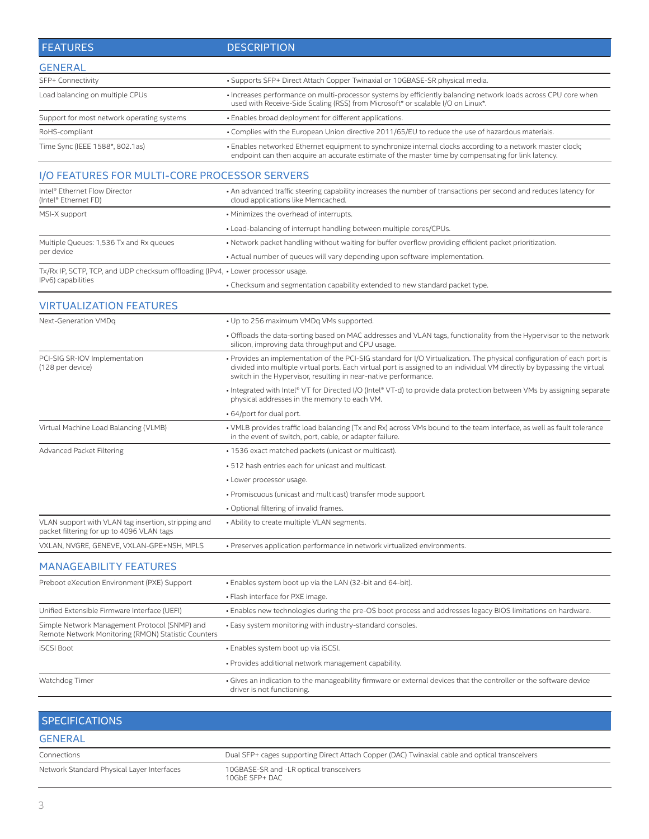| <b>FEATURES</b>                                                                                      | <b>DESCRIPTION</b>                                                                                                                                                                                                                                                                                                     |  |
|------------------------------------------------------------------------------------------------------|------------------------------------------------------------------------------------------------------------------------------------------------------------------------------------------------------------------------------------------------------------------------------------------------------------------------|--|
| <b>GENERAL</b>                                                                                       |                                                                                                                                                                                                                                                                                                                        |  |
| SFP+ Connectivity                                                                                    | • Supports SFP+ Direct Attach Copper Twinaxial or 10GBASE-SR physical media.                                                                                                                                                                                                                                           |  |
| Load balancing on multiple CPUs                                                                      | · Increases performance on multi-processor systems by efficiently balancing network loads across CPU core when<br>used with Receive-Side Scaling (RSS) from Microsoft* or scalable I/O on Linux*.                                                                                                                      |  |
| Support for most network operating systems                                                           | • Enables broad deployment for different applications.                                                                                                                                                                                                                                                                 |  |
| RoHS-compliant                                                                                       | . Complies with the European Union directive 2011/65/EU to reduce the use of hazardous materials.                                                                                                                                                                                                                      |  |
| Time Sync (IEEE 1588*, 802.1as)                                                                      | · Enables networked Ethernet equipment to synchronize internal clocks according to a network master clock;<br>endpoint can then acquire an accurate estimate of the master time by compensating for link latency.                                                                                                      |  |
| I/O FEATURES FOR MULTI-CORE PROCESSOR SERVERS                                                        |                                                                                                                                                                                                                                                                                                                        |  |
| Intel® Ethernet Flow Director<br>(Intel® Ethernet FD)                                                | • An advanced traffic steering capability increases the number of transactions per second and reduces latency for<br>cloud applications like Memcached.                                                                                                                                                                |  |
| MSI-X support                                                                                        | • Minimizes the overhead of interrupts.                                                                                                                                                                                                                                                                                |  |
|                                                                                                      | • Load-balancing of interrupt handling between multiple cores/CPUs.                                                                                                                                                                                                                                                    |  |
| Multiple Queues: 1,536 Tx and Rx queues                                                              | • Network packet handling without waiting for buffer overflow providing efficient packet prioritization.                                                                                                                                                                                                               |  |
| per device                                                                                           | • Actual number of queues will vary depending upon software implementation.                                                                                                                                                                                                                                            |  |
| Tx/Rx IP, SCTP, TCP, and UDP checksum offloading (IPv4, • Lower processor usage.                     |                                                                                                                                                                                                                                                                                                                        |  |
| IPv6) capabilities                                                                                   | . Checksum and segmentation capability extended to new standard packet type.                                                                                                                                                                                                                                           |  |
| <b>VIRTUALIZATION FEATURES</b>                                                                       |                                                                                                                                                                                                                                                                                                                        |  |
| Next-Generation VMDq                                                                                 | • Up to 256 maximum VMDq VMs supported.                                                                                                                                                                                                                                                                                |  |
|                                                                                                      | • Offloads the data-sorting based on MAC addresses and VLAN tags, functionality from the Hypervisor to the network<br>silicon, improving data throughput and CPU usage.                                                                                                                                                |  |
| PCI-SIG SR-IOV Implementation<br>(128 per device)                                                    | • Provides an implementation of the PCI-SIG standard for I/O Virtualization. The physical configuration of each port is<br>divided into multiple virtual ports. Each virtual port is assigned to an individual VM directly by bypassing the virtual<br>switch in the Hypervisor, resulting in near-native performance. |  |
|                                                                                                      | • Integrated with Intel® VT for Directed I/O (Intel® VT-d) to provide data protection between VMs by assigning separate<br>physical addresses in the memory to each VM.                                                                                                                                                |  |
|                                                                                                      | • 64/port for dual port.                                                                                                                                                                                                                                                                                               |  |
| Virtual Machine Load Balancing (VLMB)                                                                | • VMLB provides traffic load balancing (Tx and Rx) across VMs bound to the team interface, as well as fault tolerance<br>in the event of switch, port, cable, or adapter failure.                                                                                                                                      |  |
| Advanced Packet Filtering                                                                            | • 1536 exact matched packets (unicast or multicast).                                                                                                                                                                                                                                                                   |  |
|                                                                                                      | • 512 hash entries each for unicast and multicast.                                                                                                                                                                                                                                                                     |  |
|                                                                                                      | • Lower processor usage.                                                                                                                                                                                                                                                                                               |  |
|                                                                                                      | • Promiscuous (unicast and multicast) transfer mode support.                                                                                                                                                                                                                                                           |  |
|                                                                                                      | • Optional filtering of invalid frames.                                                                                                                                                                                                                                                                                |  |
| VLAN support with VLAN tag insertion, stripping and<br>packet filtering for up to 4096 VLAN tags     | • Ability to create multiple VLAN segments.                                                                                                                                                                                                                                                                            |  |
| VXLAN, NVGRE, GENEVE, VXLAN-GPE+NSH, MPLS                                                            | • Preserves application performance in network virtualized environments.                                                                                                                                                                                                                                               |  |
| <b>MANAGEABILITY FEATURES</b>                                                                        |                                                                                                                                                                                                                                                                                                                        |  |
| Preboot eXecution Environment (PXE) Support                                                          | • Enables system boot up via the LAN (32-bit and 64-bit).                                                                                                                                                                                                                                                              |  |
|                                                                                                      | • Flash interface for PXE image.                                                                                                                                                                                                                                                                                       |  |
| Unified Extensible Firmware Interface (UEFI)                                                         | · Enables new technologies during the pre-OS boot process and addresses legacy BIOS limitations on hardware.                                                                                                                                                                                                           |  |
| Simple Network Management Protocol (SNMP) and<br>Remote Network Monitoring (RMON) Statistic Counters | • Easy system monitoring with industry-standard consoles.                                                                                                                                                                                                                                                              |  |
| <b>iSCSI Boot</b>                                                                                    | · Enables system boot up via iSCSI.                                                                                                                                                                                                                                                                                    |  |
|                                                                                                      | · Provides additional network management capability.                                                                                                                                                                                                                                                                   |  |
| Watchdog Timer                                                                                       | Gives an indication to the manageability firmware or external devices that the controller or the software device<br>driver is not functioning.                                                                                                                                                                         |  |
|                                                                                                      |                                                                                                                                                                                                                                                                                                                        |  |

| <b>SPECIFICATIONS</b>                      |                                                                                                |
|--------------------------------------------|------------------------------------------------------------------------------------------------|
| <b>GENERAL</b>                             |                                                                                                |
| Connections                                | Dual SFP+ cages supporting Direct Attach Copper (DAC) Twinaxial cable and optical transceivers |
| Network Standard Physical Layer Interfaces | 10GBASE-SR and -LR optical transceivers<br>10GbE SFP+ DAC                                      |